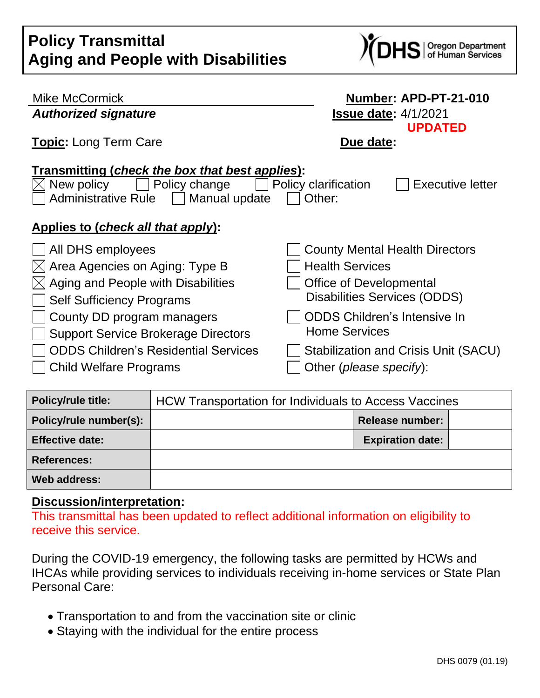| <b>Policy Transmittal</b>                 |
|-------------------------------------------|
| <b>Aging and People with Disabilities</b> |



| <b>Mike McCormick</b>                                                 | Number: APD-PT-21-010                           |  |  |  |
|-----------------------------------------------------------------------|-------------------------------------------------|--|--|--|
| <b>Authorized signature</b>                                           | <b>Issue date: 4/1/2021</b>                     |  |  |  |
| <b>Topic: Long Term Care</b>                                          | <b>UPDATED</b><br>Due date:                     |  |  |  |
| Transmitting (check the box that best applies):                       |                                                 |  |  |  |
| Policy change<br>New policy                                           | <b>Executive letter</b><br>Policy clarification |  |  |  |
| <b>Administrative Rule</b><br>Manual update<br>Other:<br>$\mathbf{1}$ |                                                 |  |  |  |
| Applies to (check all that apply):                                    |                                                 |  |  |  |
| All DHS employees                                                     | <b>County Mental Health Directors</b>           |  |  |  |
| Area Agencies on Aging: Type B<br>$ \times $                          | <b>Health Services</b>                          |  |  |  |
| Aging and People with Disabilities<br>$\mathbb{X}$                    | <b>Office of Developmental</b>                  |  |  |  |
| <b>Self Sufficiency Programs</b>                                      | <b>Disabilities Services (ODDS)</b>             |  |  |  |
| County DD program managers                                            | <b>ODDS Children's Intensive In</b>             |  |  |  |
| <b>Support Service Brokerage Directors</b>                            | <b>Home Services</b>                            |  |  |  |
| <b>ODDS Children's Residential Services</b>                           | Stabilization and Crisis Unit (SACU)            |  |  |  |
| <b>Child Welfare Programs</b>                                         | Other (please specify):                         |  |  |  |

| <b>Policy/rule title:</b> | <b>HCW Transportation for Individuals to Access Vaccines</b> |                         |  |
|---------------------------|--------------------------------------------------------------|-------------------------|--|
| Policy/rule number(s):    |                                                              | <b>Release number:</b>  |  |
| <b>Effective date:</b>    |                                                              | <b>Expiration date:</b> |  |
| <b>References:</b>        |                                                              |                         |  |
| Web address:              |                                                              |                         |  |

## **Discussion/interpretation:**

This transmittal has been updated to reflect additional information on eligibility to receive this service.

During the COVID-19 emergency, the following tasks are permitted by HCWs and IHCAs while providing services to individuals receiving in-home services or State Plan Personal Care:

- Transportation to and from the vaccination site or clinic
- Staying with the individual for the entire process